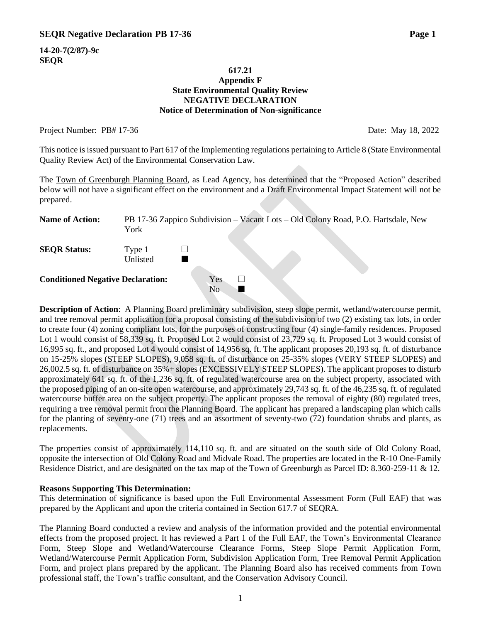**14-20-7(2/87)-9c SEQR**

#### **617.21 Appendix F State Environmental Quality Review NEGATIVE DECLARATION Notice of Determination of Non-significance**

#### Project Number: PB# 17-36 Date: May 18, 2022

This notice is issued pursuant to Part 617 of the Implementing regulations pertaining to Article 8 (State Environmental Quality Review Act) of the Environmental Conservation Law.

The Town of Greenburgh Planning Board, as Lead Agency, has determined that the "Proposed Action" described below will not have a significant effect on the environment and a Draft Environmental Impact Statement will not be prepared.

| <b>Name of Action:</b>                   | York               | PB 17-36 Zappico Subdivision – Vacant Lots – Old Colony Road, P.O. Hartsdale, New |
|------------------------------------------|--------------------|-----------------------------------------------------------------------------------|
| <b>SEQR Status:</b>                      | Type 1<br>Unlisted |                                                                                   |
| <b>Conditioned Negative Declaration:</b> |                    | Yes<br>No                                                                         |

**Description of Action**: A Planning Board preliminary subdivision, steep slope permit, wetland/watercourse permit, and tree removal permit application for a proposal consisting of the subdivision of two (2) existing tax lots, in order to create four (4) zoning compliant lots, for the purposes of constructing four (4) single-family residences. Proposed Lot 1 would consist of 58,339 sq. ft. Proposed Lot 2 would consist of 23,729 sq. ft. Proposed Lot 3 would consist of 16,995 sq. ft., and proposed Lot 4 would consist of 14,956 sq. ft. The applicant proposes 20,193 sq. ft. of disturbance on 15-25% slopes (STEEP SLOPES), 9,058 sq. ft. of disturbance on 25-35% slopes (VERY STEEP SLOPES) and 26,002.5 sq. ft. of disturbance on 35%+ slopes (EXCESSIVELY STEEP SLOPES). The applicant proposes to disturb approximately 641 sq. ft. of the 1,236 sq. ft. of regulated watercourse area on the subject property, associated with the proposed piping of an on-site open watercourse, and approximately 29,743 sq. ft. of the 46,235 sq. ft. of regulated watercourse buffer area on the subject property. The applicant proposes the removal of eighty (80) regulated trees, requiring a tree removal permit from the Planning Board. The applicant has prepared a landscaping plan which calls for the planting of seventy-one (71) trees and an assortment of seventy-two (72) foundation shrubs and plants, as replacements.

The properties consist of approximately 114,110 sq. ft. and are situated on the south side of Old Colony Road, opposite the intersection of Old Colony Road and Midvale Road. The properties are located in the R-10 One-Family Residence District, and are designated on the tax map of the Town of Greenburgh as Parcel ID: 8.360-259-11 & 12.

#### **Reasons Supporting This Determination:**

This determination of significance is based upon the Full Environmental Assessment Form (Full EAF) that was prepared by the Applicant and upon the criteria contained in Section 617.7 of SEQRA.

The Planning Board conducted a review and analysis of the information provided and the potential environmental effects from the proposed project. It has reviewed a Part 1 of the Full EAF, the Town's Environmental Clearance Form, Steep Slope and Wetland/Watercourse Clearance Forms, Steep Slope Permit Application Form, Wetland/Watercourse Permit Application Form, Subdivision Application Form, Tree Removal Permit Application Form, and project plans prepared by the applicant. The Planning Board also has received comments from Town professional staff, the Town's traffic consultant, and the Conservation Advisory Council.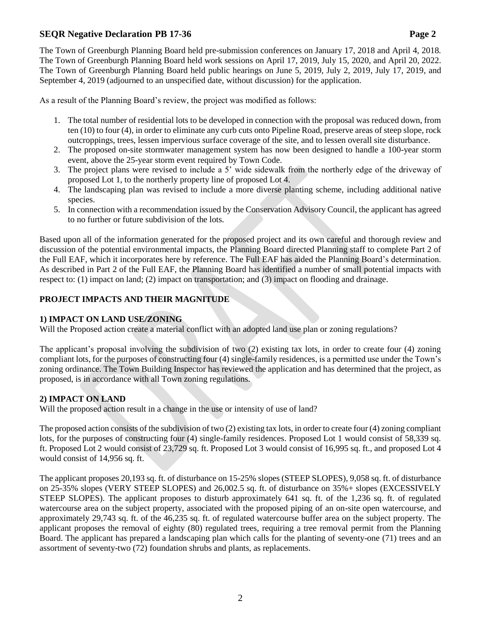As a result of the Planning Board's review, the project was modified as follows:

September 4, 2019 (adjourned to an unspecified date, without discussion) for the application.

- 1. The total number of residential lots to be developed in connection with the proposal was reduced down, from ten (10) to four (4), in order to eliminate any curb cuts onto Pipeline Road, preserve areas of steep slope, rock outcroppings, trees, lessen impervious surface coverage of the site, and to lessen overall site disturbance.
- 2. The proposed on-site stormwater management system has now been designed to handle a 100-year storm event, above the 25-year storm event required by Town Code.
- 3. The project plans were revised to include a 5' wide sidewalk from the northerly edge of the driveway of proposed Lot 1, to the northerly property line of proposed Lot 4.
- 4. The landscaping plan was revised to include a more diverse planting scheme, including additional native species.
- 5. In connection with a recommendation issued by the Conservation Advisory Council, the applicant has agreed to no further or future subdivision of the lots.

Based upon all of the information generated for the proposed project and its own careful and thorough review and discussion of the potential environmental impacts, the Planning Board directed Planning staff to complete Part 2 of the Full EAF, which it incorporates here by reference. The Full EAF has aided the Planning Board's determination. As described in Part 2 of the Full EAF, the Planning Board has identified a number of small potential impacts with respect to: (1) impact on land; (2) impact on transportation; and (3) impact on flooding and drainage.

# **PROJECT IMPACTS AND THEIR MAGNITUDE**

### **1) IMPACT ON LAND USE/ZONING**

Will the Proposed action create a material conflict with an adopted land use plan or zoning regulations?

The applicant's proposal involving the subdivision of two (2) existing tax lots, in order to create four (4) zoning compliant lots, for the purposes of constructing four (4) single-family residences, is a permitted use under the Town's zoning ordinance. The Town Building Inspector has reviewed the application and has determined that the project, as proposed, is in accordance with all Town zoning regulations.

### **2) IMPACT ON LAND**

Will the proposed action result in a change in the use or intensity of use of land?

The proposed action consists of the subdivision of two (2) existing tax lots, in order to create four (4) zoning compliant lots, for the purposes of constructing four (4) single-family residences. Proposed Lot 1 would consist of 58,339 sq. ft. Proposed Lot 2 would consist of 23,729 sq. ft. Proposed Lot 3 would consist of 16,995 sq. ft., and proposed Lot 4 would consist of 14,956 sq. ft.

The applicant proposes 20,193 sq. ft. of disturbance on 15-25% slopes (STEEP SLOPES), 9,058 sq. ft. of disturbance on 25-35% slopes (VERY STEEP SLOPES) and 26,002.5 sq. ft. of disturbance on 35%+ slopes (EXCESSIVELY STEEP SLOPES). The applicant proposes to disturb approximately 641 sq. ft. of the 1,236 sq. ft. of regulated watercourse area on the subject property, associated with the proposed piping of an on-site open watercourse, and approximately 29,743 sq. ft. of the 46,235 sq. ft. of regulated watercourse buffer area on the subject property. The applicant proposes the removal of eighty (80) regulated trees, requiring a tree removal permit from the Planning Board. The applicant has prepared a landscaping plan which calls for the planting of seventy-one (71) trees and an assortment of seventy-two (72) foundation shrubs and plants, as replacements.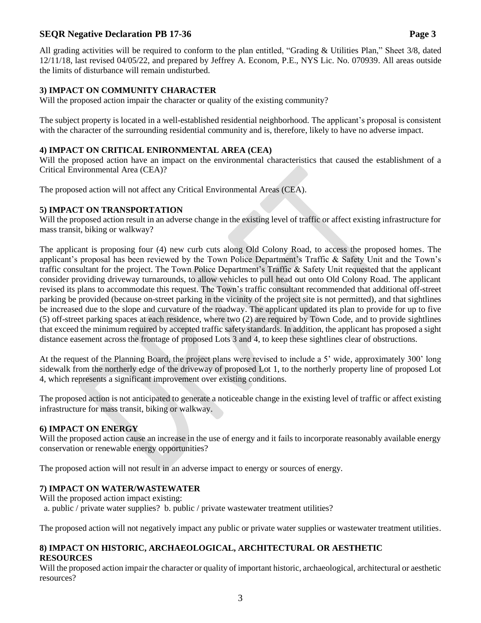All grading activities will be required to conform to the plan entitled, "Grading & Utilities Plan," Sheet 3/8, dated 12/11/18, last revised 04/05/22, and prepared by Jeffrey A. Econom, P.E., NYS Lic. No. 070939. All areas outside the limits of disturbance will remain undisturbed.

# **3) IMPACT ON COMMUNITY CHARACTER**

Will the proposed action impair the character or quality of the existing community?

The subject property is located in a well-established residential neighborhood. The applicant's proposal is consistent with the character of the surrounding residential community and is, therefore, likely to have no adverse impact.

# **4) IMPACT ON CRITICAL ENIRONMENTAL AREA (CEA)**

Will the proposed action have an impact on the environmental characteristics that caused the establishment of a Critical Environmental Area (CEA)?

The proposed action will not affect any Critical Environmental Areas (CEA).

### **5) IMPACT ON TRANSPORTATION**

Will the proposed action result in an adverse change in the existing level of traffic or affect existing infrastructure for mass transit, biking or walkway?

The applicant is proposing four (4) new curb cuts along Old Colony Road, to access the proposed homes. The applicant's proposal has been reviewed by the Town Police Department's Traffic & Safety Unit and the Town's traffic consultant for the project. The Town Police Department's Traffic & Safety Unit requested that the applicant consider providing driveway turnarounds, to allow vehicles to pull head out onto Old Colony Road. The applicant revised its plans to accommodate this request. The Town's traffic consultant recommended that additional off-street parking be provided (because on-street parking in the vicinity of the project site is not permitted), and that sightlines be increased due to the slope and curvature of the roadway. The applicant updated its plan to provide for up to five (5) off-street parking spaces at each residence, where two (2) are required by Town Code, and to provide sightlines that exceed the minimum required by accepted traffic safety standards. In addition, the applicant has proposed a sight distance easement across the frontage of proposed Lots 3 and 4, to keep these sightlines clear of obstructions.

At the request of the Planning Board, the project plans were revised to include a 5' wide, approximately 300' long sidewalk from the northerly edge of the driveway of proposed Lot 1, to the northerly property line of proposed Lot 4, which represents a significant improvement over existing conditions.

The proposed action is not anticipated to generate a noticeable change in the existing level of traffic or affect existing infrastructure for mass transit, biking or walkway.

### **6) IMPACT ON ENERGY**

Will the proposed action cause an increase in the use of energy and it fails to incorporate reasonably available energy conservation or renewable energy opportunities?

The proposed action will not result in an adverse impact to energy or sources of energy.

### **7) IMPACT ON WATER/WASTEWATER**

Will the proposed action impact existing:

a. public / private water supplies? b. public / private wastewater treatment utilities?

The proposed action will not negatively impact any public or private water supplies or wastewater treatment utilities.

#### **8) IMPACT ON HISTORIC, ARCHAEOLOGICAL, ARCHITECTURAL OR AESTHETIC RESOURCES**

Will the proposed action impair the character or quality of important historic, archaeological, architectural or aesthetic resources?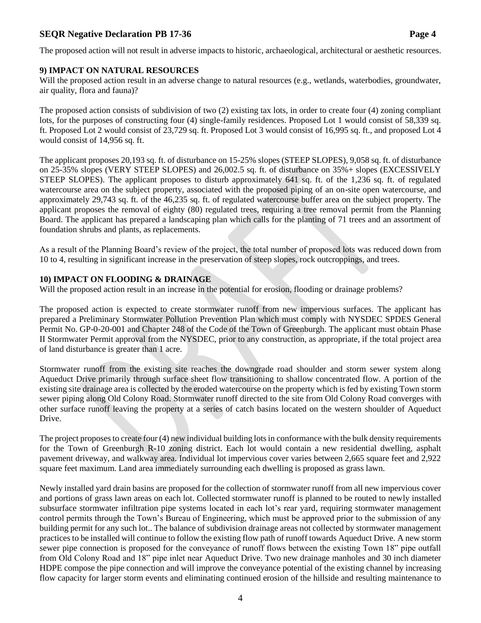The proposed action will not result in adverse impacts to historic, archaeological, architectural or aesthetic resources.

#### **9) IMPACT ON NATURAL RESOURCES**

Will the proposed action result in an adverse change to natural resources (e.g., wetlands, waterbodies, groundwater, air quality, flora and fauna)?

The proposed action consists of subdivision of two (2) existing tax lots, in order to create four (4) zoning compliant lots, for the purposes of constructing four (4) single-family residences. Proposed Lot 1 would consist of 58,339 sq. ft. Proposed Lot 2 would consist of 23,729 sq. ft. Proposed Lot 3 would consist of 16,995 sq. ft., and proposed Lot 4 would consist of 14,956 sq. ft.

The applicant proposes 20,193 sq. ft. of disturbance on 15-25% slopes (STEEP SLOPES), 9,058 sq. ft. of disturbance on 25-35% slopes (VERY STEEP SLOPES) and 26,002.5 sq. ft. of disturbance on 35%+ slopes (EXCESSIVELY STEEP SLOPES). The applicant proposes to disturb approximately 641 sq. ft. of the 1,236 sq. ft. of regulated watercourse area on the subject property, associated with the proposed piping of an on-site open watercourse, and approximately 29,743 sq. ft. of the 46,235 sq. ft. of regulated watercourse buffer area on the subject property. The applicant proposes the removal of eighty (80) regulated trees, requiring a tree removal permit from the Planning Board. The applicant has prepared a landscaping plan which calls for the planting of 71 trees and an assortment of foundation shrubs and plants, as replacements.

As a result of the Planning Board's review of the project, the total number of proposed lots was reduced down from 10 to 4, resulting in significant increase in the preservation of steep slopes, rock outcroppings, and trees.

#### **10) IMPACT ON FLOODING & DRAINAGE**

Will the proposed action result in an increase in the potential for erosion, flooding or drainage problems?

The proposed action is expected to create stormwater runoff from new impervious surfaces. The applicant has prepared a Preliminary Stormwater Pollution Prevention Plan which must comply with NYSDEC SPDES General Permit No. GP-0-20-001 and Chapter 248 of the Code of the Town of Greenburgh. The applicant must obtain Phase II Stormwater Permit approval from the NYSDEC, prior to any construction, as appropriate, if the total project area of land disturbance is greater than 1 acre.

Stormwater runoff from the existing site reaches the downgrade road shoulder and storm sewer system along Aqueduct Drive primarily through surface sheet flow transitioning to shallow concentrated flow. A portion of the existing site drainage area is collected by the eroded watercourse on the property which is fed by existing Town storm sewer piping along Old Colony Road. Stormwater runoff directed to the site from Old Colony Road converges with other surface runoff leaving the property at a series of catch basins located on the western shoulder of Aqueduct Drive.

The project proposes to create four (4) new individual building lots in conformance with the bulk density requirements for the Town of Greenburgh R-10 zoning district. Each lot would contain a new residential dwelling, asphalt pavement driveway, and walkway area. Individual lot impervious cover varies between 2,665 square feet and 2,922 square feet maximum. Land area immediately surrounding each dwelling is proposed as grass lawn.

Newly installed yard drain basins are proposed for the collection of stormwater runoff from all new impervious cover and portions of grass lawn areas on each lot. Collected stormwater runoff is planned to be routed to newly installed subsurface stormwater infiltration pipe systems located in each lot's rear yard, requiring stormwater management control permits through the Town's Bureau of Engineering, which must be approved prior to the submission of any building permit for any such lot.. The balance of subdivision drainage areas not collected by stormwater management practices to be installed will continue to follow the existing flow path of runoff towards Aqueduct Drive. A new storm sewer pipe connection is proposed for the conveyance of runoff flows between the existing Town 18" pipe outfall from Old Colony Road and 18" pipe inlet near Aqueduct Drive. Two new drainage manholes and 30 inch diameter HDPE compose the pipe connection and will improve the conveyance potential of the existing channel by increasing flow capacity for larger storm events and eliminating continued erosion of the hillside and resulting maintenance to